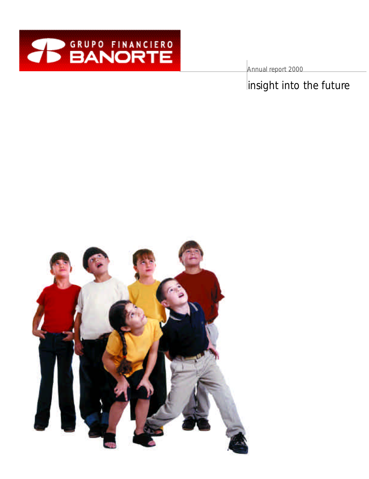

Annual report 2000

insight into the future

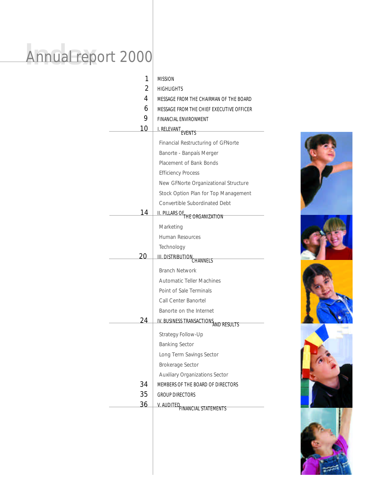## Annual rep Annual report 2000

| 1  | <b>MISSION</b>                                                    |  |  |
|----|-------------------------------------------------------------------|--|--|
| 2  | <b>HIGHLIGHTS</b>                                                 |  |  |
| 4  | MESSAGE FROM THE CHAIRMAN OF THE BOARD                            |  |  |
| 6  | MESSAGE FROM THE CHIEF EXECUTIVE OFFICER                          |  |  |
| 9  | FINANCIAL ENVIRONMENT                                             |  |  |
| 10 | I. RELEVANT                                                       |  |  |
|    | Financial Restructuring of GFNorte                                |  |  |
|    | Banorte - Banpaís Merger                                          |  |  |
|    | Placement of Bank Bonds                                           |  |  |
|    |                                                                   |  |  |
|    | <b>Efficiency Process</b><br>New GFNorte Organizational Structure |  |  |
|    | Stock Option Plan for Top Management                              |  |  |
|    | Convertible Subordinated Debt                                     |  |  |
| 14 |                                                                   |  |  |
|    | II. PILLARS OF THE ORGANIZATION                                   |  |  |
|    | Marketing                                                         |  |  |
|    | <b>Human Resources</b>                                            |  |  |
|    | Technology                                                        |  |  |
| 20 | III. DISTRIBUTION CHANNELS                                        |  |  |
|    | <b>Branch Network</b>                                             |  |  |
|    | <b>Automatic Teller Machines</b>                                  |  |  |
|    | Point of Sale Terminals                                           |  |  |
|    | Call Center Banortel                                              |  |  |
|    | Banorte on the Internet                                           |  |  |
| 24 | IV. BUSINESS TRANSACTIONS AND RESULTS                             |  |  |
|    | Strategy Follow-Up                                                |  |  |
|    | <b>Banking Sector</b>                                             |  |  |
|    | Long Term Savings Sector                                          |  |  |
|    | <b>Brokerage Sector</b>                                           |  |  |
|    | <b>Auxiliary Organizations Sector</b>                             |  |  |
| 34 | MEMBERS OF THE BOARD OF DIRECTORS                                 |  |  |
| 35 | <b>GROUP DIRECTORS</b>                                            |  |  |
| 36 |                                                                   |  |  |
|    | V. AUDITED FINANCIAL STATEMENTS                                   |  |  |
|    |                                                                   |  |  |
|    |                                                                   |  |  |
|    |                                                                   |  |  |
|    |                                                                   |  |  |



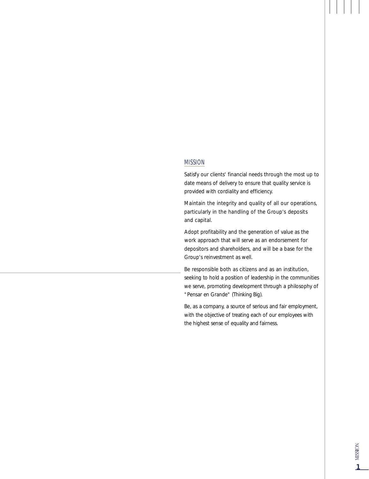#### MISSION

Satisfy our clients' financial needs through the most up to date means of delivery to ensure that quality service is provided with cordiality and efficiency.

Maintain the integrity and quality of all our operations, particularly in the handling of the Group's deposits and capital.

Adopt profitability and the generation of value as the work approach that will serve as an endorsement for depositors and shareholders, and will be a base for the Group's reinvestment as well.

Be responsible both as citizens and as an institution, seeking to hold a position of leadership in the communities we serve, promoting development through a philosophy of "Pensar en Grande" (Thinking Big).

Be, as a company, a source of serious and fair employment, with the objective of treating each of our employees with the highest sense of equality and fairness.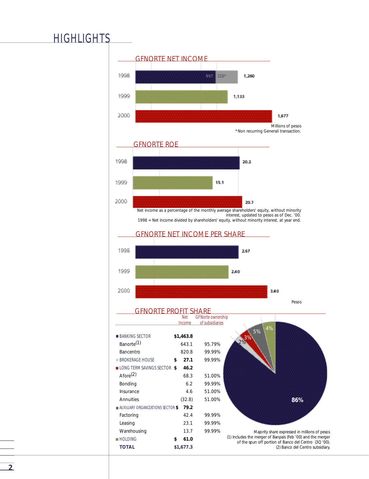### **HIGHLIGHTS**

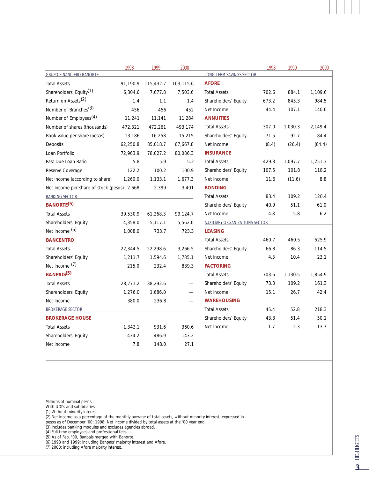|                                             | 1998     | 1999      | 2000      |                                       | 1998  | 1999    | 2000    |
|---------------------------------------------|----------|-----------|-----------|---------------------------------------|-------|---------|---------|
| <b>GRUPO FINANCIERO BANORTE</b>             |          |           |           | <b>LONG TERM SAVINGS SECTOR</b>       |       |         |         |
| <b>Total Assets</b>                         | 91,190.9 | 115,432.7 | 103,115.6 | <b>AFORE</b>                          |       |         |         |
| Shareholders' Equity <sup>(1)</sup>         | 6,304.6  | 7,677.8   | 7,503.6   | <b>Total Assets</b>                   | 702.6 | 884.1   | 1,109.6 |
| Return on Assets <sup>(2)</sup>             | 1.4      | 1.1       | 1.4       | Shareholders' Equity                  | 673.2 | 845.3   | 984.5   |
| Number of Branches <sup>(3)</sup>           | 456      | 456       | 452       | Net Income                            | 44.4  | 107.1   | 140.0   |
| Number of Employees <sup>(4)</sup>          | 11,241   | 11,141    | 11,284    | <b>ANNUITIES</b>                      |       |         |         |
| Number of shares (thousands)                | 472.321  | 472,261   | 493.174   | <b>Total Assets</b>                   | 307.0 | 1,030.3 | 2,149.4 |
| Book value per share (pesos)                | 13.186   | 16.258    | 15.215    | Shareholders' Equity                  | 71.5  | 92.7    | 84.4    |
| Deposits                                    | 62,250.8 | 85,018.7  | 67,667.8  | Net Income                            | (8.4) | (26.4)  | (64.4)  |
| Loan Portfolio                              | 72,963.9 | 78,027.2  | 80,086.3  | <b>INSURANCE</b>                      |       |         |         |
| Past Due Loan Ratio                         | 5.8      | 5.9       | 5.2       | <b>Total Assets</b>                   | 429.3 | 1,097.7 | 1,251.3 |
| Reserve Coverage                            | 122.2    | 100.2     | 100.9     | Shareholders' Equity                  | 107.5 | 101.8   | 118.2   |
| Net Income (according to share)             | 1,260.0  | 1,133.1   | 1,677.3   | Net Income                            | 11.6  | (11.6)  | 8.8     |
| Net Income per share of stock (pesos) 2.668 |          | 2.399     | 3.401     | <b>BONDING</b>                        |       |         |         |
| <b>BANKING SECTOR</b>                       |          |           |           | <b>Total Assets</b>                   | 83.4  | 109.2   | 120.4   |
| BANORTE <sup>(5)</sup>                      |          |           |           | Shareholders' Equity                  | 40.9  | 51.1    | 61.0    |
| <b>Total Assets</b>                         | 39,530.9 | 61,268.3  | 99,124.7  | Net Income                            | 4.8   | 5.8     | 6.2     |
| Shareholders' Equity                        | 4,358.0  | 5,117.1   | 5,562.0   | <b>AUXILIARY ORGANIZATIONS SECTOR</b> |       |         |         |
| Net Income (6)                              | 1,008.0  | 733.7     | 723.3     | <b>LEASING</b>                        |       |         |         |
| <b>BANCENTRO</b>                            |          |           |           | <b>Total Assets</b>                   | 460.7 | 460.5   | 525.9   |
| <b>Total Assets</b>                         | 22,344.5 | 22,298.6  | 3.266.5   | Shareholders' Equity                  | 66.8  | 86.3    | 114.5   |
| Shareholders' Equity                        | 1,211.7  | 1,594.6   | 1,785.1   | Net Income                            | 4.3   | 10.4    | 23.1    |
| Net Income (7)                              | 215.0    | 232.4     | 839.3     | <b>FACTORING</b>                      |       |         |         |
| BANPAÍS <sup>(5)</sup>                      |          |           |           | <b>Total Assets</b>                   | 703.6 | 1,130.5 | 1,854.9 |
| <b>Total Assets</b>                         | 28,771.2 | 38,292.6  |           | Shareholders' Equity                  | 73.0  | 109.2   | 161.3   |
| Shareholders' Equity                        | 1,276.0  | 1,686.0   |           | Net Income                            | 15.1  | 26.7    | 42.4    |
| Net Income                                  | 380.0    | 236.8     |           | <b>WAREHOUSING</b>                    |       |         |         |
| <b>BROKERAGE SECTOR</b>                     |          |           |           | <b>Total Assets</b>                   | 45.4  | 52.8    | 218.3   |
| <b>BROKERAGE HOUSE</b>                      |          |           |           | Shareholders' Equity                  | 43.3  | 51.4    | 50.1    |
| <b>Total Assets</b>                         | 1,342.1  | 931.6     | 360.6     | Net Income                            | 1.7   | 2.3     | 13.7    |
| Shareholders' Equity                        | 434.2    | 486.9     | 143.2     |                                       |       |         |         |
| Net Income                                  | 7.8      | 148.0     | 27.1      |                                       |       |         |         |
|                                             |          |           |           |                                       |       |         |         |

*Millions of nominal pesos.* 

*With UDI's and subsidiaries.* 

*(1) Without minority interest.* 

*(2) Net income as a percentage of the monthly average of total assets, without minority interest, expressed in*

*pesos as of December '00; 1998: Net income divided by total assets at the '00 year end.* 

*(3) Includes banking modules and excludes agencies abroad.* 

*(4) Full-time employees and professional fees.*

*(5) As of Feb. '00, Banpaís merged with Banorte.* 

*(6) 1998 and 1999: including Banpaís' majority interest and Afore.* 

*(7) 2000: including Afore majority interest.*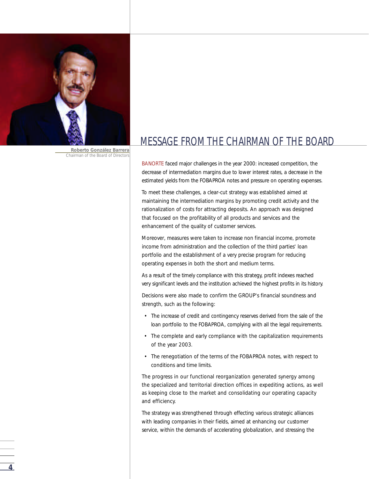

*Roberto González Barrera Chairman of the Board of Directors*

### MESSAGE FROM THE CHAIRMAN OF THE BOARD

BANORTE faced major challenges in the year 2000: increased competition, the decrease of intermediation margins due to lower interest rates, a decrease in the estimated yields from the FOBAPROA notes and pressure on operating expenses.

To meet these challenges, a clear-cut strategy was established aimed at maintaining the intermediation margins by promoting credit activity and the rationalization of costs for attracting deposits. An approach was designed that focused on the profitability of all products and services and the enhancement of the quality of customer services.

Moreover, measures were taken to increase non financial income, promote income from administration and the collection of the third parties' loan portfolio and the establishment of a very precise program for reducing operating expenses in both the short and medium terms.

As a result of the timely compliance with this strategy, profit indexes reached very significant levels and the institution achieved the highest profits in its history.

Decisions were also made to confirm the GROUP's financial soundness and strength, such as the following:

- The increase of credit and contingency reserves derived from the sale of the loan portfolio to the FOBAPROA, complying with all the legal requirements.
- The complete and early compliance with the capitalization requirements of the year 2003.
- The renegotiation of the terms of the FOBAPROA notes, with respect to conditions and time limits.

The progress in our functional reorganization generated synergy among the specialized and territorial direction offices in expediting actions, as well as keeping close to the market and consolidating our operating capacity and efficiency.

The strategy was strengthened through effecting various strategic alliances with leading companies in their fields, aimed at enhancing our customer service, within the demands of accelerating globalization, and stressing the

**4**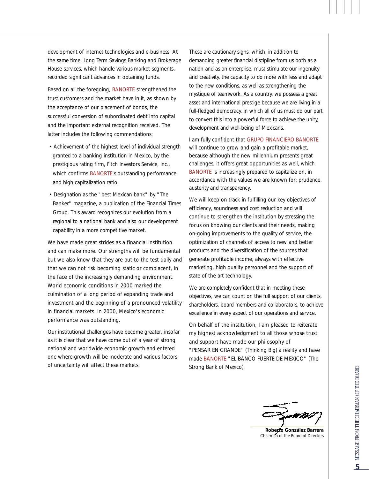development of internet technologies and e-business. At the same time, Long Term Savings Banking and Brokerage House services, which handle various market segments, recorded significant advances in obtaining funds.

Based on all the foregoing, BANORTE strengthened the trust customers and the market have in it, as shown by the acceptance of our placement of bonds, the successful conversion of subordinated debt into capital and the important external recognition received. The latter includes the following commendations:

- Achievement of the highest level of individual strength granted to a banking institution in Mexico, by the prestigious rating firm, Fitch Investors Service, Inc., which confirms BANORTE's outstanding performance and high capitalization ratio.
- Designation as the "best Mexican bank" by "The Banker" magazine, a publication of the Financial Times Group. This award recognizes our evolution from a regional to a national bank and also our development capability in a more competitive market.

We have made great strides as a financial institution and can make more. Our strengths will be fundamental but we also know that they are put to the test daily and that we can not risk becoming static or complacent, in the face of the increasingly demanding environment. World economic conditions in 2000 marked the culmination of a long period of expanding trade and investment and the beginning of a pronounced volatility in financial markets. In 2000, Mexico's economic performance was outstanding.

Our institutional challenges have become greater, insofar as it is clear that we have come out of a year of strong national and worldwide economic growth and entered one where growth will be moderate and various factors of uncertainty will affect these markets.

These are cautionary signs, which, in addition to demanding greater financial discipline from us both as a nation and as an enterprise, must stimulate our ingenuity and creativity, the capacity to do more with less and adapt to the new conditions, as well as strengthening the mystique of teamwork. As a country, we possess a great asset and international prestige because we are living in a full-fledged democracy, in which all of us must do our part to convert this into a powerful force to achieve the unity, development and well-being of Mexicans.

I am fully confident that GRUPO FINANCIERO BANORTE will continue to grow and gain a profitable market, because although the new millennium presents great challenges, it offers great opportunities as well, which BANORTE is increasingly prepared to capitalize on, in accordance with the values we are known for: prudence, austerity and transparency.

We will keep on track in fulfilling our key objectives of efficiency, soundness and cost reduction and will continue to strengthen the institution by stressing the focus on knowing our clients and their needs, making on-going improvements to the quality of service, the optimization of channels of access to new and better products and the diversification of the sources that generate profitable income, always with effective marketing, high quality personnel and the support of state of the art technology.

We are completely confident that in meeting these objectives, we can count on the full support of our clients, shareholders, board members and collaborators, to achieve excellence in every aspect of our operations and service.

On behalf of the institution, I am pleased to reiterate my highest acknowledgment to all those whose trust and support have made our philosophy of "PENSAR EN GRANDE" (Thinking Big) a reality and have made BANORTE "EL BANCO FUERTE DE MEXICO" (The Strong Bank of Mexico).

*Roberto González Barrera Chairman of the Board of Directors*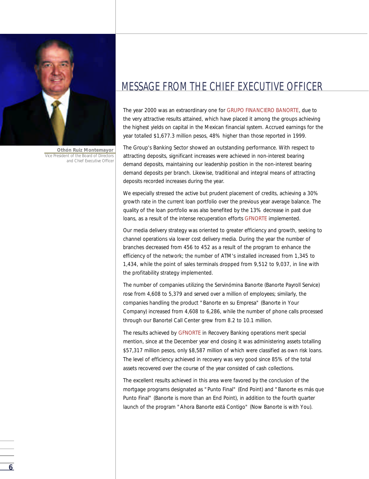

**6**

*Othón Ruiz Montemayor Vice President of the Board of Directors and Chief Executive Officer*

### MESSAGE FROM THE CHIEF EXECUTIVE OFFICER

The year 2000 was an extraordinary one for GRUPO FINANCIERO BANORTE, due to the very attractive results attained, which have placed it among the groups achieving the highest yields on capital in the Mexican financial system. Accrued earnings for the year totalled \$1,677.3 million pesos, 48% higher than those reported in 1999.

The Group's Banking Sector showed an outstanding performance. With respect to attracting deposits, significant increases were achieved in non-interest bearing demand deposits, maintaining our leadership position in the non-interest bearing demand deposits per branch. Likewise, traditional and integral means of attracting deposits recorded increases during the year.

We especially stressed the active but prudent placement of credits, achieving a 30% growth rate in the current loan portfolio over the previous year average balance. The quality of the loan portfolio was also benefited by the 13% decrease in past due loans, as a result of the intense recuperation efforts GFNORTE implemented.

Our media delivery strategy was oriented to greater efficiency and growth, seeking to channel operations via lower cost delivery media. During the year the number of branches decreased from 456 to 452 as a result of the program to enhance the efficiency of the network; the number of ATM's installed increased from 1,345 to 1,434, while the point of sales terminals dropped from 9,512 to 9,037, in line with the profitability strategy implemented.

The number of companies utilizing the Servinómina Banorte (Banorte Payroll Service) rose from 4,608 to 5,379 and served over a million of employees; similarly, the companies handling the product "Banorte en su Empresa" (Banorte in Your Company) increased from 4,608 to 6,286, while the number of phone calls processed through our Banortel Call Center grew from 8.2 to 10.1 million.

The results achieved by GFNORTE in Recovery Banking operations merit special mention, since at the December year end closing it was administering assets totalling \$57,317 million pesos, only \$8,587 million of which were classified as own risk loans. The level of efficiency achieved in recovery was very good since 85% of the total assets recovered over the course of the year consisted of cash collections.

The excellent results achieved in this area were favored by the conclusion of the mortgage programs designated as "Punto Final" (End Point) and "Banorte es más que Punto Final" (Banorte is more than an End Point), in addition to the fourth quarter launch of the program "Ahora Banorte está Contigo" (Now Banorte is with You).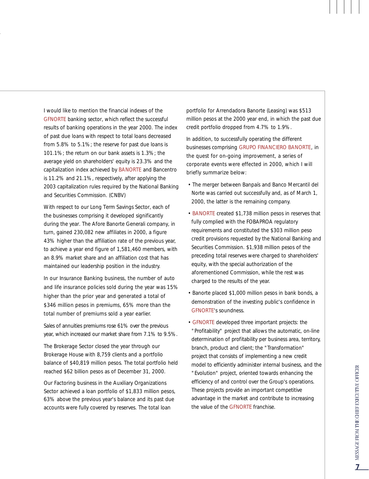I would like to mention the financial indexes of the GFNORTE banking sector, which reflect the successful results of banking operations in the year 2000. The index of past due loans with respect to total loans decreased from 5.8% to 5.1%; the reserve for past due loans is 101.1%; the return on our bank assets is 1.3%; the average yield on shareholders' equity is 23.3% and the capitalization index achieved by BANORTE and Bancentro is 11.2% and 21.1%, respectively, after applying the 2003 capitalization rules required by the National Banking and Securities Commission. (CNBV)

With respect to our Long Term Savings Sector, each of the businesses comprising it developed significantly during the year. The Afore Banorte Generali company, in turn, gained 230,082 new affiliates in 2000, a figure 43% higher than the affiliation rate of the previous year, to achieve a year end figure of 1,581,460 members, with an 8.9% market share and an affiliation cost that has maintained our leadership position in the industry.

In our Insurance Banking business, the number of auto and life insurance policies sold during the year was 15% higher than the prior year and generated a total of \$346 million pesos in premiums, 65% more than the total number of premiums sold a year earlier.

Sales of annuities premiums rose 61% over the previous year, which increased our market share from 7.1% to 9.5%.

The Brokerage Sector closed the year through our Brokerage House with 8,759 clients and a portfolio balance of \$40,819 million pesos. The total portfolio held reached \$62 billion pesos as of December 31, 2000.

Our Factoring business in the Auxiliary Organizations Sector achieved a loan portfolio of \$1,833 million pesos, 63% above the previous year's balance and its past due accounts were fully covered by reserves. The total loan

portfolio for Arrendadora Banorte (Leasing) was \$513 million pesos at the 2000 year end, in which the past due credit portfolio dropped from 4.7% to 1.9%.

In addition, to successfully operating the different businesses comprising GRUPO FINANCIERO BANORTE, in the quest for on-going improvement, a series of corporate events were effected in 2000, which I will briefly summarize below:

- The merger between Banpaís and Banco Mercantil del Norte was carried out successfully and, as of March 1, 2000, the latter is the remaining company.
- BANORTE created \$1,738 million pesos in reserves that fully complied with the FOBAPROA regulatory requirements and constituted the \$303 million peso credit provisions requested by the National Banking and Securities Commission. \$1,938 million pesos of the preceding total reserves were charged to shareholders' equity, with the special authorization of the aforementioned Commission, while the rest was charged to the results of the year.
- Banorte placed \$1,000 million pesos in bank bonds, a demonstration of the investing public's confidence in GFNORTE's soundness.
- GFNORTE developed three important projects: the " Profitability" project that allows the automatic, on-line determination of profitability per business area, territory, branch, product and client; the "Transformation" project that consists of implementing a new credit model to efficiently administer internal business, and the "Evolution" project, oriented towards enhancing the efficiency of and control over the Group's operations. These projects provide an important competitive advantage in the market and contribute to increasing the value of the GFNORTE franchise.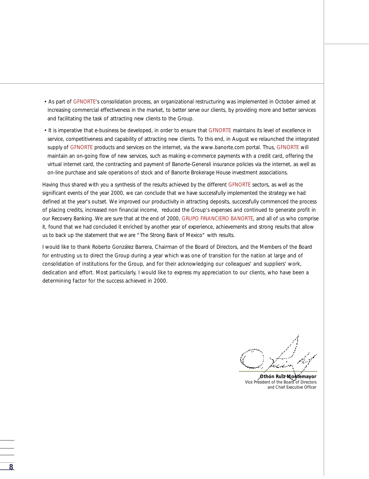- As part of GFNORTE's consolidation process, an organizational restructuring was implemented in October aimed at increasing commercial effectiveness in the market, to better serve our clients, by providing more and better services and facilitating the task of attracting new clients to the Group.
- It is imperative that e-business be developed, in order to ensure that GFNORTE maintains its level of excellence in service, competitiveness and capability of attracting new clients. To this end, in August we relaunched the integrated supply of GFNORTE products and services on the internet, via the www.banorte.com portal. Thus, GFNORTE will maintain an on-going flow of new services, such as making e-commerce payments with a credit card, offering the virtual internet card, the contracting and payment of Banorte-Generali insurance policies via the internet, as well as on-line purchase and sale operations of stock and of Banorte Brokerage House investment associations.

Having thus shared with you a synthesis of the results achieved by the different GFNORTE sectors, as well as the significant events of the year 2000, we can conclude that we have successfully implemented the strategy we had defined at the year's outset. We improved our productivity in attracting deposits, successfully commenced the process of placing credits, increased non financial income, reduced the Group's expenses and continued to generate profit in our Recovery Banking. We are sure that at the end of 2000, GRUPO FINANCIERO BANORTE, and all of us who comprise it, found that we had concluded it enriched by another year of experience, achievements and strong results that allow us to back up the statement that we are "The Strong Bank of Mexico" with results.

I would like to thank Roberto González Barrera, Chairman of the Board of Directors, and the Members of the Board for entrusting us to direct the Group during a year which was one of transition for the nation at large and of consolidation of institutions for the Group, and for their acknowledging our colleagues' and suppliers' work, dedication and effort. Most particularly, I would like to express my appreciation to our clients, who have been a determining factor for the success achieved in 2000.

*Othón Ruiz Montemayor Vice President of the Board of Directors and Chief Executive Officer*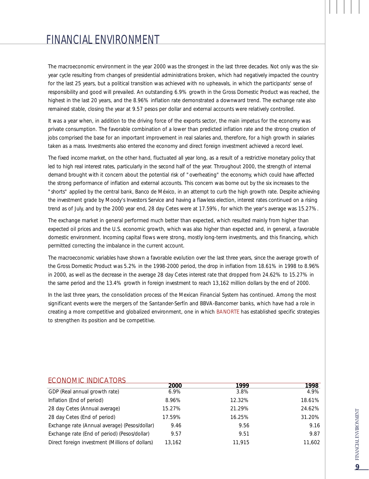The macroeconomic environment in the year 2000 was the strongest in the last three decades. Not only was the sixyear cycle resulting from changes of presidential administrations broken, which had negatively impacted the country for the last 25 years, but a political transition was achieved with no upheavals, in which the participants' sense of responsibility and good will prevailed. An outstanding 6.9% growth in the Gross Domestic Product was reached, the highest in the last 20 years, and the 8.96% inflation rate demonstrated a downward trend. The exchange rate also remained stable, closing the year at 9.57 pesos per dollar and external accounts were relatively controlled.

It was a year when, in addition to the driving force of the exports sector, the main impetus for the economy was private consumption. The favorable combination of a lower than predicted inflation rate and the strong creation of jobs comprised the base for an important improvement in real salaries and, therefore, for a high growth in salaries taken as a mass. Investments also entered the economy and direct foreign investment achieved a record level.

The fixed income market, on the other hand, fluctuated all year long, as a result of a restrictive monetary policy that led to high real interest rates, particularly in the second half of the year. Throughout 2000, the strength of internal demand brought with it concern about the potential risk of "overheating" the economy, which could have affected the strong performance of inflation and external accounts. This concern was borne out by the six increases to the "shorts" applied by the central bank, Banco de México, in an attempt to curb the high growth rate. Despite achieving the investment grade by Moody's Investors Service and having a flawless election, interest rates continued on a rising trend as of July, and by the 2000 year end, 28 day Cetes were at 17.59%, for which the year's average was 15.27%.

The exchange market in general performed much better than expected, which resulted mainly from higher than expected oil prices and the U.S. economic growth, which was also higher than expected and, in general, a favorable domestic environment. Incoming capital flows were strong, mostly long-term investments, and this financing, which permitted correcting the imbalance in the current account.

The macroeconomic variables have shown a favorable evolution over the last three years, since the average growth of the Gross Domestic Product was 5.2% in the 1998-2000 period, the drop in inflation from 18.61% in 1998 to 8.96% in 2000, as well as the decrease in the average 28 day Cetes interest rate that dropped from 24.62% to 15.27% in the same period and the 13.4% growth in foreign investment to reach 13,162 million dollars by the end of 2000.

In the last three years, the consolidation process of the Mexican Financial System has continued. Among the most significant events were the mergers of the Santander-Serfín and BBVA-Bancomer banks, which have had a role in creating a more competitive and globalized environment, one in which BANORTE has established specific strategies to strengthen its position and be competitive.

| EUUINUIVIIU IINDIUATUNJ                         |        |        |        |
|-------------------------------------------------|--------|--------|--------|
|                                                 | 2000   | 1999   | 1998   |
| GDP (Real annual growth rate)                   | 6.9%   | 3.8%   | 4.9%   |
| Inflation (End of period)                       | 8.96%  | 12.32% | 18.61% |
| 28 day Cetes (Annual average)                   | 15.27% | 21.29% | 24.62% |
| 28 day Cetes (End of period)                    | 17.59% | 16.25% | 31.20% |
| Exchange rate (Annual average) (Pesos/dollar)   | 9.46   | 9.56   | 9.16   |
| Exchange rate (End of period) (Pesos/dollar)    | 9.57   | 9.51   | 9.87   |
| Direct foreign investment (Millions of dollars) | 13,162 | 11.915 | 11.602 |

#### ECONOMIC INDICATORS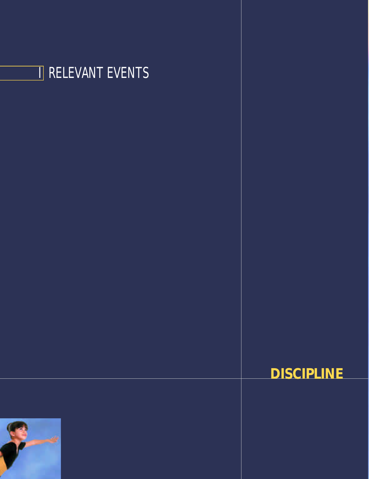



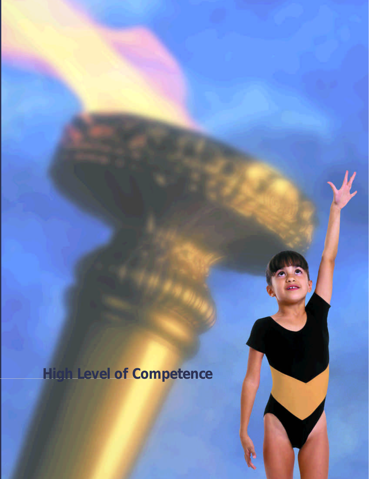**High Level of Competence**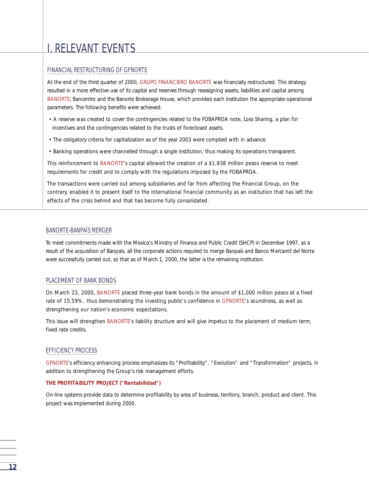## I. RELEVANT EVENTS

#### FINANCIAL RESTRUCTURING OF GFNORTE

At the end of the third quarter of 2000, GRUPO FINANCIERO BANORTE was financially restructured. This strategy resulted in a more effective use of its capital and reserves through reassigning assets, liabilities and capital among BANORTE, Bancentro and the Banorte Brokerage House, which provided each institution the appropriate operational parameters. The following benefits were achieved:

- A reserve was created to cover the contingencies related to the FOBAPROA note, Loss Sharing, a plan for incentives and the contingencies related to the trusts of foreclosed assets.
- The obligatory criteria for capitalization as of the year 2003 were complied with in advance.
- Banking operations were channelled through a single institution, thus making its operations transparent.

This reinforcement to BANORTE's capital allowed the creation of a \$1,938 million pesos reserve to meet requirements for credit and to comply with the regulations imposed by the FOBAPROA.

The transactions were carried out among subsidiaries and far from affecting the Financial Group, on the contrary, enabled it to present itself to the international financial community as an institution that has left the effects of the crisis behind and that has become fully consolidated.

#### BANORTE-BANPAÍS MERGER

To meet commitments made with the Mexico's Ministry of Finance and Public Credit (SHCP) in December 1997, as a result of the acquisition of Banpaís, all the corporate actions required to merge Banpaís and Banco Mercantil del Norte were successfully carried out, so that as of March 1, 2000, the latter is the remaining institution.

#### PLACEMENT OF BANK BONDS

On March 23, 2000, BANORTE placed three-year bank bonds in the amount of \$1,000 million pesos at a fixed rate of 15.59%, thus demonstrating the investing public's confidence in GFNORTE's soundness, as well as strengthening our nation's economic expectations.

This issue will strengthen BANORTE's liability structure and will give impetus to the placement of medium term, fixed rate credits

#### EFFICIENCY PROCESS

GFNORTE's efficiency enhancing process emphasizes its "Profitability", "Evolution" and "Transformation" projects, in addition to strengthening the Group's risk management efforts.

#### **THE PROFITABILITY PROJECT ("Rentabilidad")**

On-line systems provide data to determine profitability by area of business, territory, branch, product and client. This project was implemented during 2000.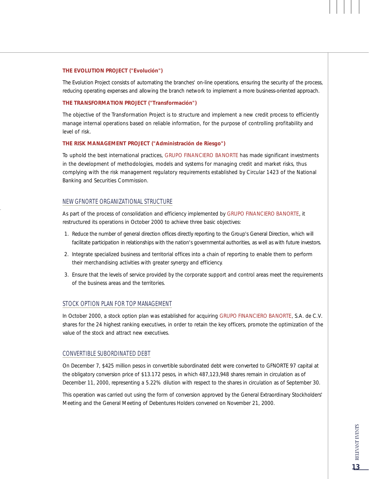#### **THE EVOLUTION PROJECT ("Evolución")**

The Evolution Project consists of automating the branches' on-line operations, ensuring the security of the process, reducing operating expenses and allowing the branch network to implement a more business-oriented approach.

#### **THE TRANSFORMATION PROJECT ("Transformación")**

The objective of the Transformation Project is to structure and implement a new credit process to efficiently manage internal operations based on reliable information, for the purpose of controlling profitability and level of risk.

#### **THE RISK MANAGEMENT PROJECT ("Administración de Riesgo")**

To uphold the best international practices, GRUPO FINANCIERO BANORTE has made significant investments in the development of methodologies, models and systems for managing credit and market risks, thus complying with the risk management regulatory requirements established by Circular 1423 of the National Banking and Securities Commission.

#### NEW GFNORTE ORGANIZATIONAL STRUCTURE

As part of the process of consolidation and efficiency implemented by GRUPO FINANCIERO BANORTE, it restructured its operations in October 2000 to achieve three basic objectives:

- 1. Reduce the number of general direction offices directly reporting to the Group's General Direction, which will facilitate participation in relationships with the nation's governmental authorities, as well as with future investors.
- 2. Integrate specialized business and territorial offices into a chain of reporting to enable them to perform their merchandising activities with greater synergy and efficiency.
- 3. Ensure that the levels of service provided by the corporate support and control areas meet the requirements of the business areas and the territories.

#### STOCK OPTION PLAN FOR TOP MANAGEMENT

In October 2000, a stock option plan was established for acquiring GRUPO FINANCIERO BANORTE, S.A. de C.V. shares for the 24 highest ranking executives, in order to retain the key officers, promote the optimization of the value of the stock and attract new executives.

#### CONVERTIBLE SUBORDINATED DEBT

On December 7, \$425 million pesos in convertible subordinated debt were converted to GFNORTE 97 capital at the obligatory conversion price of \$13.172 pesos, in which 487,123,948 shares remain in circulation as of December 11, 2000, representing a 5.22% dilution with respect to the shares in circulation as of September 30.

This operation was carried out using the form of conversion approved by the General Extraordinary Stockholders' Meeting and the General Meeting of Debentures Holders convened on November 21, 2000.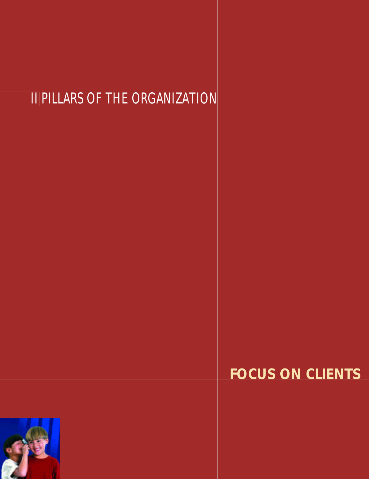# II PILLARS OF THE ORGANIZATION

## **FOCUS ON CLIENTS**

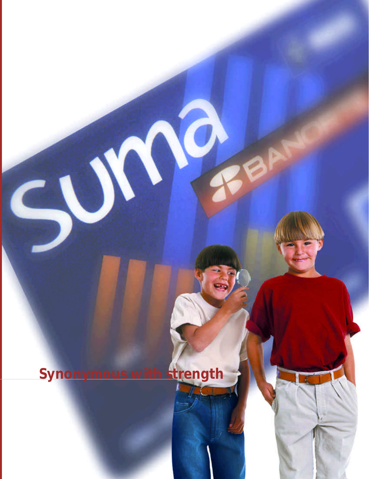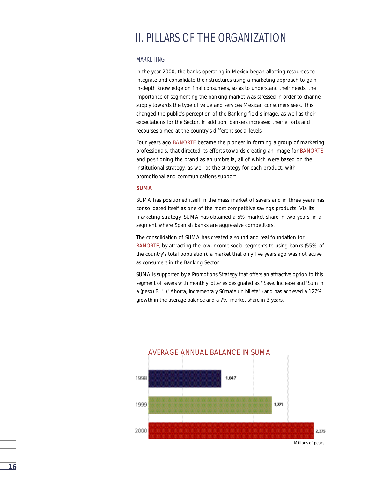#### MARKETING

In the year 2000, the banks operating in Mexico began allotting resources to integrate and consolidate their structures using a marketing approach to gain in-depth knowledge on final consumers, so as to understand their needs, the importance of segmenting the banking market was stressed in order to channel supply towards the type of value and services Mexican consumers seek. This changed the public's perception of the Banking field's image, as well as their expectations for the Sector. In addition, bankers increased their efforts and recourses aimed at the country's different social levels.

Four years ago BANORTE became the pioneer in forming a group of marketing professionals, that directed its efforts towards creating an image for BANORTE and positioning the brand as an umbrella, all of which were based on the institutional strategy, as well as the strategy for each product, with promotional and communications support.

#### **SUMA**

SUMA has positioned itself in the mass market of savers and in three years has consolidated itself as one of the most competitive savings products. Via its marketing strategy, SUMA has obtained a 5% market share in two years, in a segment where Spanish banks are aggressive competitors.

The consolidation of SUMA has created a sound and real foundation for BANORTE, by attracting the low-income social segments to using banks (55% of the country's total population), a market that only five years ago was not active as consumers in the Banking Sector.

SUMA is supported by a Promotions Strategy that offers an attractive option to this segment of savers with monthly lotteries designated as "Save, Increase and 'Sum in' a (peso) Bill" ("Ahorra, Incrementa y Súmate un billete") and has achieved a 127% growth in the average balance and a 7% market share in 3 years.

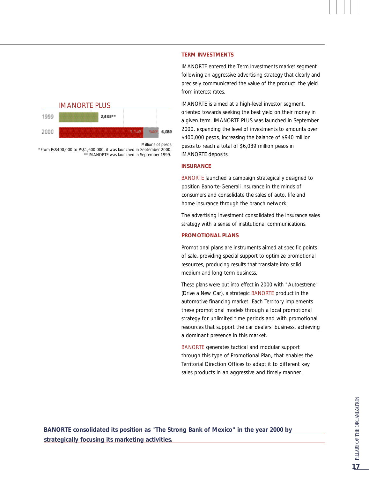

*Millions of pesos*

*\*From Ps\$400,000 to Ps\$1,600,000, it was launched in September 2000. \*\*IMANORTE was launched in September 1999.*

#### **TERM INVESTMENTS**

IMANORTE entered the Term Investments market segment following an aggressive advertising strategy that clearly and precisely communicated the value of the product: the yield from interest rates.

IMANORTE is aimed at a high-level investor segment, oriented towards seeking the best yield on their money in a given term. IMANORTE PLUS was launched in September 2000, expanding the level of investments to amounts over \$400,000 pesos, increasing the balance of \$940 million pesos to reach a total of \$6,089 million pesos in IMANORTE deposits.

#### **INSURANCE**

BANORTE launched a campaign strategically designed to position Banorte-Generali Insurance in the minds of consumers and consolidate the sales of auto, life and home insurance through the branch network.

The advertising investment consolidated the insurance sales strategy with a sense of institutional communications.

#### **PROMOTIONAL PLANS**

Promotional plans are instruments aimed at specific points of sale, providing special support to optimize promotional resources, producing results that translate into solid medium and long-term business.

These plans were put into effect in 2000 with "Autoestrene" (Drive a New Car), a strategic BANORTE product in the automotive financing market. Each Territory implements these promotional models through a local promotional strategy for unlimited time periods and with promotional resources that support the car dealers' business, achieving a dominant presence in this market.

BANORTE generates tactical and modular support through this type of Promotional Plan, that enables the Territorial Direction Offices to adapt it to different key sales products in an aggressive and timely manner.

**BANORTE consolidated its position as "The Strong Bank of Mexico" in the year 2000 by strategically focusing its marketing activities.**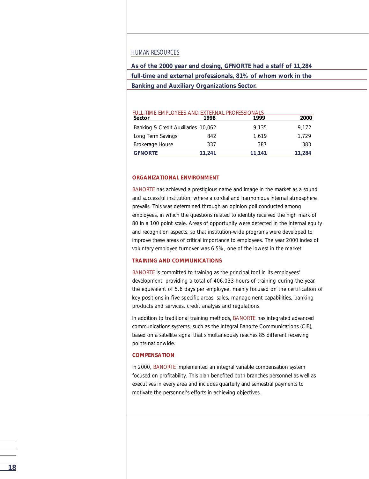#### HUMAN RESOURCES

**As of the 2000 year end closing, GFNORTE had a staff of 11,284 full-time and external professionals, 81% of whom work in the Banking and Auxiliary Organizations Sector.**

#### Banking & Credit Auxiliaries 10.062 9.135 9.172 Long Term Savings 842 1,619 1,729 Brokerage House 337 387 383 **GFNORTE 11,241 11,141 11,284 Sector 1998 1999 2000** FULL-TIME EMPLOYEES AND EXTERNAL PROFESSIONALS<br>Sector 1999 1999

#### **ORGANIZATIONAL ENVIRONMENT**

BANORTE has achieved a prestigious name and image in the market as a sound and successful institution, where a cordial and harmonious internal atmosphere prevails. This was determined through an opinion poll conducted among employees, in which the questions related to identity received the high mark of 80 in a 100 point scale. Areas of opportunity were detected in the internal equity and recognition aspects, so that institution-wide programs were developed to improve these areas of critical importance to employees. The year 2000 index of voluntary employee turnover was 6.5%, one of the lowest in the market.

#### **TRAINING AND COMMUNICATIONS**

BANORTE is committed to training as the principal tool in its employees' development, providing a total of 406,033 hours of training during the year, the equivalent of 5.6 days per employee, mainly focused on the certification of key positions in five specific areas: sales, management capabilities, banking products and services, credit analysis and regulations.

In addition to traditional training methods, BANORTE has integrated advanced communications systems, such as the Integral Banorte Communications (CIB), based on a satellite signal that simultaneously reaches 85 different receiving points nationwide.

#### **COMPENSATION**

In 2000, BANORTE implemented an integral variable compensation system focused on profitability. This plan benefited both branches personnel as well as executives in every area and includes quarterly and semestral payments to motivate the personnel's efforts in achieving objectives.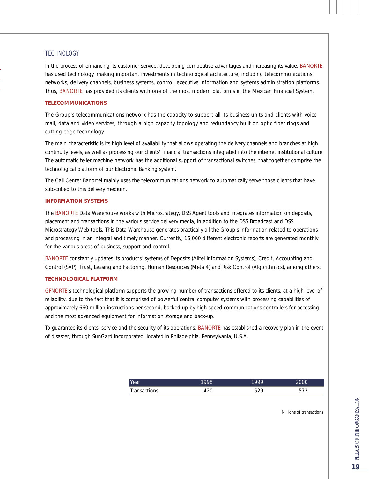#### **TECHNOLOGY**

In the process of enhancing its customer service, developing competitive advantages and increasing its value, BANORTE has used technology, making important investments in technological architecture, including telecommunications networks, delivery channels, business systems, control, executive information and systems administration platforms. Thus, BANORTE has provided its clients with one of the most modern platforms in the Mexican Financial System.

#### **TELECOMMUNICATIONS**

The Group's telecommunications network has the capacity to support all its business units and clients with voice mail, data and video services, through a high capacity topology and redundancy built on optic fiber rings and cutting edge technology.

The main characteristic is its high level of availability that allows operating the delivery channels and branches at high continuity levels, as well as processing our clients' financial transactions integrated into the internet institutional culture. The automatic teller machine network has the additional support of transactional switches, that together comprise the technological platform of our Electronic Banking system.

The Call Center Banortel mainly uses the telecommunications network to automatically serve those clients that have subscribed to this delivery medium.

#### **INFORMATION SYSTEMS**

The BANORTE Data Warehouse works with Microstrategy, DSS Agent tools and integrates information on deposits, placement and transactions in the various service delivery media, in addition to the DSS Broadcast and DSS Microstrategy Web tools. This Data Warehouse generates practically all the Group's information related to operations and processing in an integral and timely manner. Currently, 16,000 different electronic reports are generated monthly for the various areas of business, support and control.

BANORTE constantly updates its products' systems of Deposits (Alltel Information Systems), Credit, Accounting and Control (SAP), Trust, Leasing and Factoring, Human Resources (Meta 4) and Risk Control (Algorithmics), among others.

#### **TECHNOLOGICAL PLATFORM**

GFNORTE's technological platform supports the growing number of transactions offered to its clients, at a high level of reliability, due to the fact that it is comprised of powerful central computer systems with processing capabilities of approximately 660 million instructions per second, backed up by high speed communications controllers for accessing and the most advanced equipment for information storage and back-up.

To guarantee its clients' service and the security of its operations, BANORTE has established a recovery plan in the event of disaster, through SunGard Incorporated, located in Philadelphia, Pennsylvania, U.S.A.

| Year                        | 998 | 1999 | $\sim$ $\sim$ $\sim$<br>JOO |
|-----------------------------|-----|------|-----------------------------|
| Transac <sup>t</sup><br>. ט |     | ے ت  |                             |

*Millions of transactions*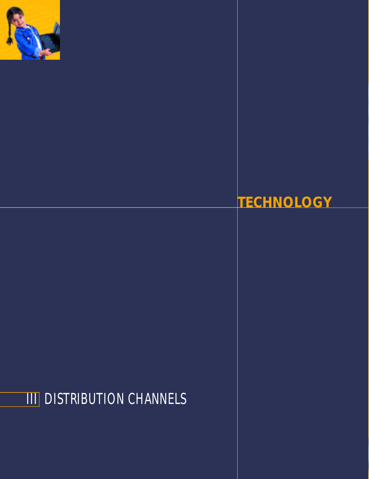

## **TECHNOLOGY**

# **III** DISTRIBUTION CHANNELS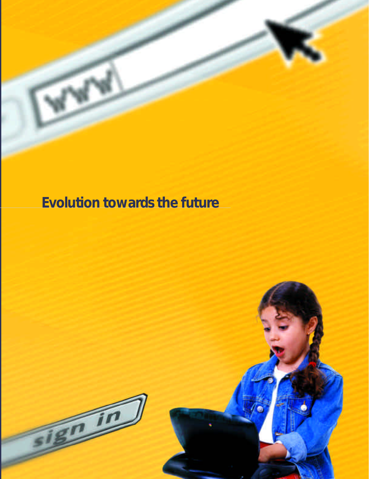## **Evolution towards the future**

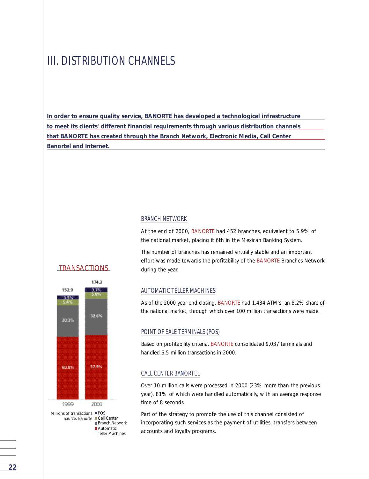### III. DISTRIBUTION CHANNELS

**In order to ensure quality service, BANORTE has developed a technological infrastructure to meet its clients' different financial requirements through various distribution channels that BANORTE has created through the Branch Network, Electronic Media, Call Center Banortel and Internet.**

#### BRANCH NETWORK

At the end of 2000, BANORTE had 452 branches, equivalent to 5.9% of the national market, placing it 6th in the Mexican Banking System.

The number of branches has remained virtually stable and an important effort was made towards the profitability of the BANORTE Branches Network during the year.

#### AUTOMATIC TELLER MACHINES

As of the 2000 year end closing, BANORTE had 1,434 ATM's, an 8.2% share of the national market, through which over 100 million transactions were made.

#### POINT OF SALE TERMINALS (POS)

Based on profitability criteria, BANORTE consolidated 9,037 terminals and handled 6.5 million transactions in 2000.

#### CALL CENTER BANORTEL

Over 10 million calls were processed in 2000 (23% more than the previous year), 81% of which were handled automatically, with an average response time of 8 seconds.

Part of the strategy to promote the use of this channel consisted of incorporating such services as the payment of utilities, transfers between accounts and loyalty programs.

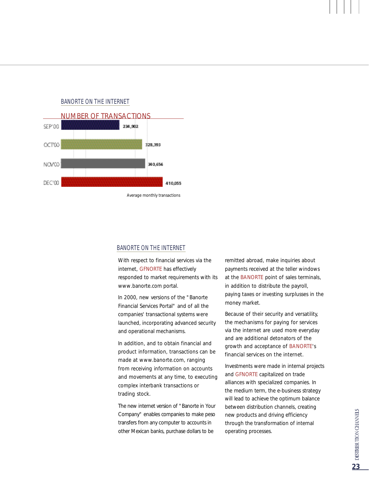



*Average monthly transactions*

#### BANORTE ON THE INTERNET

With respect to financial services via the internet, GFNORTE has effectively responded to market requirements with its www.banorte.com portal.

In 2000, new versions of the "Banorte Financial Services Portal" and of all the companies' transactional systems were launched, incorporating advanced security and operational mechanisms.

In addition, and to obtain financial and p roduct information, transactions can be made at www.banorte.com, ranging from receiving information on accounts and movements at any time, to executing complex interbank transactions or trading stock.

The new internet version of "Banorte in Your Company" enables companies to make peso transfers from any computer to accounts in other Mexican banks, purchase dollars to be

remitted abroad, make inquiries about payments received at the teller windows at the BANORTE point of sales terminals, in addition to distribute the payroll, paying taxes or investing surplusses in the money market.

Because of their security and versatility, the mechanisms for paying for services via the internet are used more everyday and are additional detonators of the growth and acceptance of BANORTE's financial services on the internet.

Investments were made in internal projects and GFNORTE capitalized on trade alliances with specialized companies. In the medium term, the e-business strategy will lead to achieve the optimum balance between distribution channels, creating new products and driving efficiency through the transformation of internal operating processes.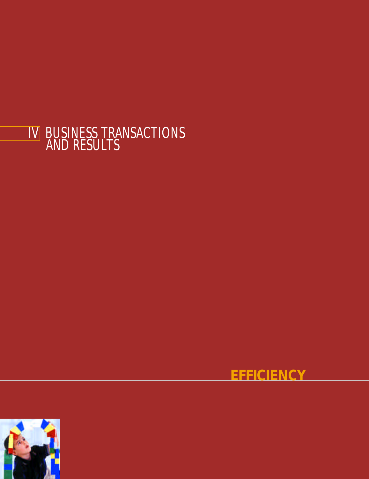## IV BUSINESS TRANSACTIONS AND RESULTS

## **EFFICIENCY**

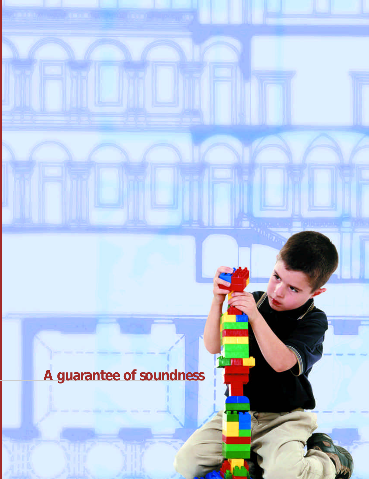# **A guarantee of soundness**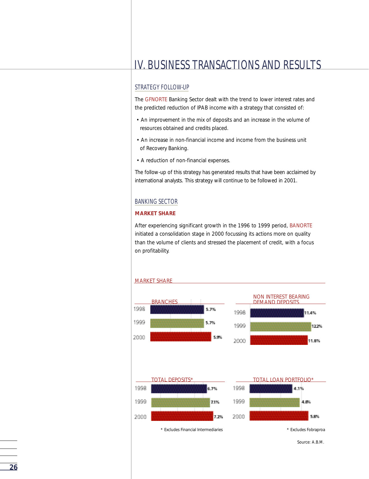## IV. BUSINESS TRANSACTIONS AND RESULTS

#### STRATEGY FOLLOW-UP

The GFNORTE Banking Sector dealt with the trend to lower interest rates and the predicted reduction of IPAB income with a strategy that consisted of:

- An improvement in the mix of deposits and an increase in the volume of resources obtained and credits placed.
- An increase in non-financial income and income from the business unit of Recovery Banking.
- A reduction of non-financial expenses.

The follow-up of this strategy has generated results that have been acclaimed by international analysts. This strategy will continue to be followed in 2001.

#### BANKING SECTOR

#### **MARKET SHARE**

After experiencing significant growth in the 1996 to 1999 period, BANORTE initiated a consolidation stage in 2000 focussing its actions more on quality than the volume of clients and stressed the placement of credit, with a focus on profitability.



*Source: A.B.M.*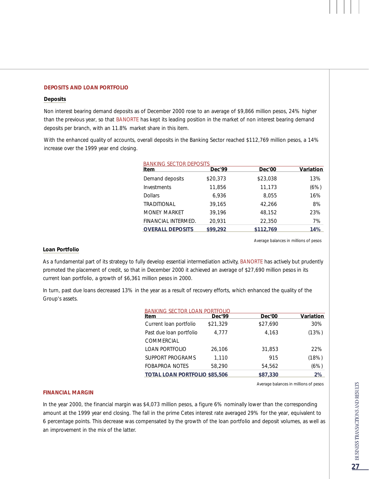#### **DEPOSITS AND LOAN PORTFOLIO**

#### **Deposits**

Non interest bearing demand deposits as of December 2000 rose to an average of \$9,866 million pesos, 24% higher than the previous year, so that BANORTE has kept its leading position in the market of non interest bearing demand deposits per branch, with an 11.8% market share in this item.

With the enhanced quality of accounts, overall deposits in the Banking Sector reached \$112,769 million pesos, a 14% increase over the 1999 year end closing.

| <b>BANKING SECTOR DEPOSITS</b> |          |           |           |
|--------------------------------|----------|-----------|-----------|
| Item                           | Dec'99   | Dec'00    | Variation |
| Demand deposits                | \$20,373 | \$23,038  | 13%       |
| Investments                    | 11,856   | 11,173    | (6%)      |
| <b>Dollars</b>                 | 6.936    | 8.055     | 16%       |
| <b>TRADITIONAL</b>             | 39,165   | 42,266    | 8%        |
| <b>MONEY MARKET</b>            | 39,196   | 48,152    | 23%       |
| FINANCIAL INTERMED.            | 20,931   | 22,350    | 7%        |
| <b>OVERALL DEPOSITS</b>        | \$99,292 | \$112.769 | 14%       |

*Average balances in millions of pesos* 

#### **Loan Portfolio**

As a fundamental part of its strategy to fully develop essential intermediation activity, BANORTE has actively but prudently promoted the placement of credit, so that in December 2000 it achieved an average of \$27,690 million pesos in its current loan portfolio, a growth of \$6,361 million pesos in 2000.

In turn, past due loans decreased 13% in the year as a result of recovery efforts, which enhanced the quality of the Group's assets.

| <b>BANKING SECTOR LOA</b>            |          |          |           |
|--------------------------------------|----------|----------|-----------|
| Item                                 | Dec'99   | Dec'00   | Variation |
| Current loan portfolio               | \$21,329 | \$27,690 | 30%       |
| Past due loan portfolio              | 4.777    | 4,163    | (13%)     |
| COMMERCIAL                           |          |          |           |
| <b>LOAN PORTFOLIO</b>                | 26,106   | 31,853   | 22%       |
| SUPPORT PROGRAMS                     | 1,110    | 915      | (18%)     |
| <b>FOBAPROA NOTES</b>                | 58.290   | 54,562   | (6%)      |
| <b>TOTAL LOAN PORTFOLIO \$85,506</b> |          | \$87,330 | 2%        |

*Average balances in millions of pesos*

#### **FINANCIAL MARGIN**

In the year 2000, the financial margin was \$4,073 million pesos, a figure 6% nominally lower than the corresponding amount at the 1999 year end closing. The fall in the prime Cetes interest rate averaged 29% for the year, equivalent to 6 percentage points. This decrease was compensated by the growth of the loan portfolio and deposit volumes, as well as an improvement in the mix of the latter.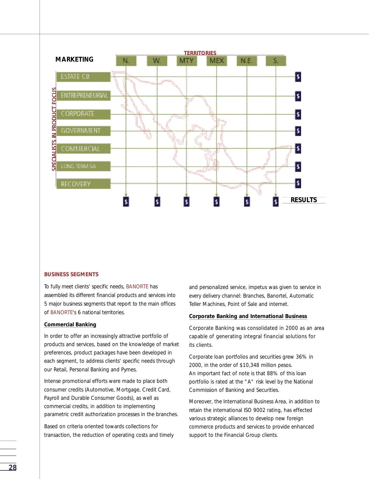

#### **BUSINESS SEGMENTS**

To fully meet clients' specific needs, BANORTE has assembled its different financial products and services into 5 major business segments that report to the main offices of BANORTE's 6 national territories.

#### **Commercial Banking**

In order to offer an increasingly attractive portfolio of products and services, based on the knowledge of market preferences, product packages have been developed in each segment, to address clients' specific needs through our Retail, Personal Banking and Pymes.

Intense promotional efforts were made to place both consumer credits (Automotive, Mortgage, Credit Card, Payroll and Durable Consumer Goods), as well as commercial credits, in addition to implementing parametric credit authorization processes in the branches.

Based on criteria oriented towards collections for transaction, the reduction of operating costs and timely and personalized service, impetus was given to service in every delivery channel: Branches, Banortel, Automatic Teller Machines, Point of Sale and internet.

#### **Corporate Banking and International Business**

Corporate Banking was consolidated in 2000 as an area capable of generating integral financial solutions for its clients.

Corporate loan portfolios and securities grew 36% in 2000, in the order of \$10,348 million pesos. An important fact of note is that 88% of this loan portfolio is rated at the "A" risk level by the National Commission of Banking and Securities.

Moreover, the International Business Area, in addition to retain the international ISO 9002 rating, has effected various strategic alliances to develop new foreign commerce products and services to provide enhanced support to the Financial Group clients.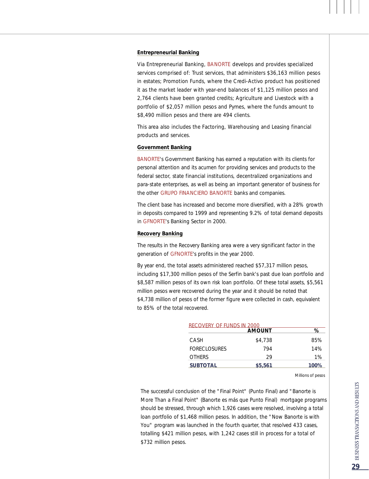#### **Entrepreneurial Banking**

Via Entrepreneurial Banking, BANORTE develops and provides specialized services comprised of: Trust services, that administers \$36,163 million pesos in estates; Promotion Funds, where the Credi-Activo product has positioned it as the market leader with year-end balances of \$1,125 million pesos and 2,764 clients have been granted credits; Agriculture and Livestock with a portfolio of \$2,057 million pesos and Pymes, where the funds amount to \$8,490 million pesos and there are 494 clients.

This area also includes the Factoring, Warehousing and Leasing financial products and services.

#### **Government Banking**

BANORTE's Government Banking has earned a reputation with its clients for personal attention and its acumen for providing services and products to the federal sector, state financial institutions, decentralized organizations and para-state enterprises, as well as being an important generator of business for the other GRUPO FINANCIERO BANORTE banks and companies.

The client base has increased and become more diversified, with a 28% growth in deposits compared to 1999 and representing 9.2% of total demand deposits in GFNORTE's Banking Sector in 2000.

#### **Recovery Banking**

The results in the Recovery Banking area were a very significant factor in the generation of GFNORTE's profits in the year 2000.

By year end, the total assets administered reached \$57,317 million pesos, including \$17,300 million pesos of the Serfin bank's past due loan portfolio and \$8,587 million pesos of its own risk loan portfolio. Of these total assets, \$5,561 million pesos were recovered during the year and it should be noted that \$4,738 million of pesos of the former figure were collected in cash, equivalent to 85% of the total recovered.

| RECOVERY OF FUNDS IN 2000 |               |       |  |
|---------------------------|---------------|-------|--|
|                           | <b>AMOUNT</b> | ℅     |  |
| CASH                      | \$4,738       | 85%   |  |
| <b>FORECLOSURES</b>       | 794           | 14%   |  |
| <b>OTHERS</b>             | 29            | $1\%$ |  |
| <b>SUBTOTAL</b>           | \$5,561       | 100%  |  |

*Millions of pesos*

The successful conclusion of the "Final Point" (Punto Final) and "Banorte is More Than a Final Point" (Banorte es más que Punto Final) mortgage programs should be stressed, through which 1,926 cases were resolved, involving a total loan portfolio of \$1,468 million pesos. In addition, the "Now Banorte is with You" program was launched in the fourth quarter, that resolved 433 cases, totalling \$421 million pesos, with 1,242 cases still in process for a total of \$732 million pesos.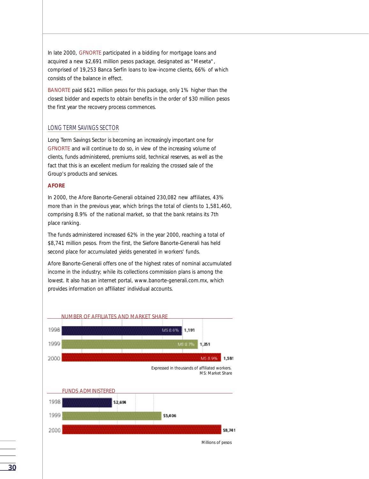In late 2000, GFNORTE participated in a bidding for mortgage loans and acquired a new \$2,691 million pesos package, designated as "Meseta", comprised of 19,253 Banca Serfín loans to low-income clients, 66% of which consists of the balance in effect.

BANORTE paid \$621 million pesos for this package, only 1% higher than the closest bidder and expects to obtain benefits in the order of \$30 million pesos the first year the recovery process commences.

#### LONG TERM SAVINGS SECTOR

Long Term Savings Sector is becoming an increasingly important one for GFNORTE and will continue to do so, in view of the increasing volume of clients, funds administered, premiums sold, technical reserves, as well as the fact that this is an excellent medium for realizing the crossed sale of the Group's products and services.

#### **AFORE**

In 2000, the Afore Banorte-Generali obtained 230,082 new affiliates, 43% more than in the previous year, which brings the total of clients to 1,581,460, comprising 8.9% of the national market, so that the bank retains its 7th place ranking.

The funds administered increased 62% in the year 2000, reaching a total of \$8,741 million pesos. From the first, the Siefore Banorte-Generali has held second place for accumulated yields generated in workers' funds.

Afore Banorte-Generali offers one of the highest rates of nominal accumulated income in the industry; while its collections commission plans is among the lowest. It also has an internet portal, www.banorte-generali.com.mx, which provides information on affiliates' individual accounts.



*Millions of pesos*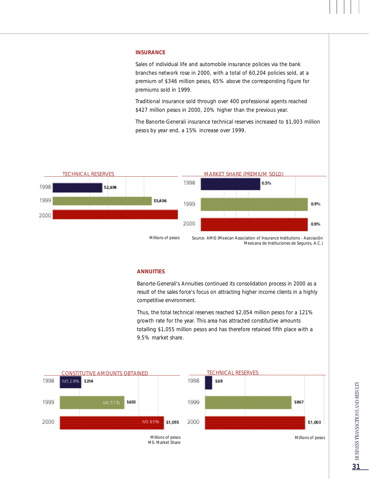#### **INSURANCE**

Sales of individual life and automobile insurance policies via the bank branches network rose in 2000, with a total of 60,204 policies sold, at a p remium of \$346 million pesos, 65% above the corresponding figure for premiums sold in 1999.

Traditional insurance sold through over 400 professional agents reached \$427 million pesos in 2000, 20% higher than the previous year.

The Banorte-Generali insurance technical reserves increased to \$1,003 million pesos by year end, a 15% increase over 1999.



#### **ANNUITIES**

Banorte-Generali's Annuities continued its consolidation process in 2000 as a result of the sales force's focus on attracting higher income clients in a highly competitive environment.

Thus, the total technical reserves reached \$2,054 million pesos for a 121% growth rate for the year. This area has attracted constitutive amounts totalling \$1,055 million pesos and has therefore retained fifth place with a 9.5% market share.

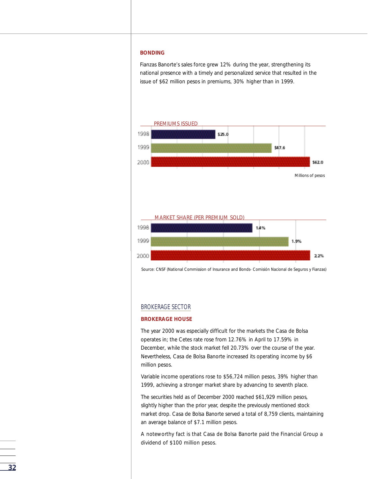#### **BONDING**

Fianzas Banorte's sales force grew 12% during the year, strengthening its national presence with a timely and personalized service that resulted in the issue of \$62 million pesos in premiums, 30% higher than in 1999.



*Source: CNSF (National Commission of Insurance and Bonds- Comisión Nacional de Seguros y Fianzas)*

#### BROKERAGE SECTOR

#### **BROKERAGE HOUSE**

The year 2000 was especially difficult for the markets the Casa de Bolsa operates in; the Cetes rate rose from 12.76% in April to 17.59% in December, while the stock market fell 20.73% over the course of the year. Nevertheless, Casa de Bolsa Banorte increased its operating income by \$6 million pesos.

Variable income operations rose to \$56,724 million pesos, 39% higher than 1999, achieving a stronger market share by advancing to seventh place.

The securities held as of December 2000 reached \$61,929 million pesos, slightly higher than the prior year, despite the previously mentioned stock market drop. Casa de Bolsa Banorte served a total of 8,759 clients, maintaining an average balance of \$7.1 million pesos.

A noteworthy fact is that Casa de Bolsa Banorte paid the Financial Group a dividend of \$100 million pesos.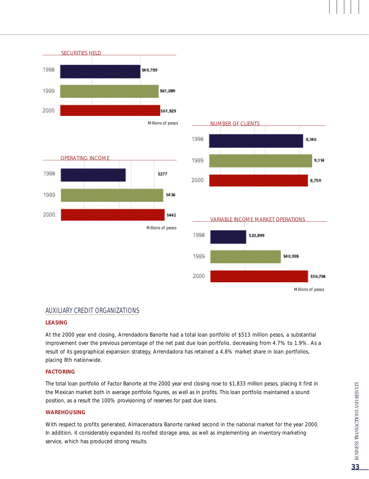





#### AUXILIARY CREDIT ORGANIZATIONS

#### **LEASING**

At the 2000 year end closing, Arrendadora Banorte had a total loan portfolio of \$513 million pesos, a substantial improvement over the previous percentage of the net past due loan portfolio, decreasing from 4.7% to 1.9%. As a result of its geographical expansion strategy, Arrendadora has retained a 4.8% market share in loan portfolios, placing 8th nationwide.

#### **FACTORING**

The total loan portfolio of Factor Banorte at the 2000 year end closing rose to \$1,833 million pesos, placing it first in the Mexican market both in average portfolio figures, as well as in profits. This loan portfolio maintained a sound position, as a result the 100% provisioning of reserves for past due loans.

#### **WAREHOUSING**

With respect to profits generated, Almacenadora Banorte ranked second in the national market for the year 2000. In addition, it considerably expanded its roofed storage area, as well as implementing an inventory marketing service, which has produced strong results.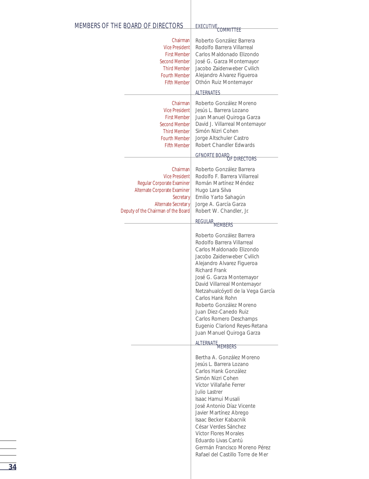| MEMBERS OF THE BOARD OF DIRECTORS                                                                                                                                                 | EXECUTIVE<br>COMMITTEE                                                                                                                                                                                                                                                                                                                                                                                                            |
|-----------------------------------------------------------------------------------------------------------------------------------------------------------------------------------|-----------------------------------------------------------------------------------------------------------------------------------------------------------------------------------------------------------------------------------------------------------------------------------------------------------------------------------------------------------------------------------------------------------------------------------|
| Chairman<br><b>Vice President</b><br><b>First Member</b><br><b>Second Member</b><br><b>Third Member</b><br><b>Fourth Member</b><br><b>Fifth Member</b>                            | Roberto González Barrera<br>Rodolfo Barrera Villarreal<br>Carlos Maldonado Elizondo<br>José G. Garza Montemayor<br>Jacobo Zaidenweber Cvilich<br>Alejandro Alvarez Figueroa<br>Othón Ruiz Montemayor                                                                                                                                                                                                                              |
|                                                                                                                                                                                   | <b>ALTERNATES</b>                                                                                                                                                                                                                                                                                                                                                                                                                 |
| Chairman<br><b>Vice President</b><br><b>First Member</b><br>Second Member<br><b>Third Member</b><br><b>Fourth Member</b><br><b>Fifth Member</b>                                   | Roberto González Moreno<br>Jesús L. Barrera Lozano<br>Juan Manuel Quiroga Garza<br>David J. Villarreal Montemayor<br>Simón Nizri Cohen<br>Jorge Altschuler Castro<br>Robert Chandler Edwards                                                                                                                                                                                                                                      |
|                                                                                                                                                                                   | <b>GFNORTE BOARD</b><br>OF DIRECTORS                                                                                                                                                                                                                                                                                                                                                                                              |
| Chairman<br><b>Vice President</b><br>Regular Corporate Examiner<br>Alternate Corporate Examiner<br>Secretary<br><b>Alternate Secretary</b><br>Deputy of the Chairman of the Board | Roberto González Barrera<br>Rodolfo F. Barrera Villarreal<br>Román Martínez Méndez<br>Hugo Lara Silva<br>Emilio Yarto Sahagún<br>Jorge A. García Garza<br>Robert W. Chandler, Jr.                                                                                                                                                                                                                                                 |
|                                                                                                                                                                                   | <b>REGULAR</b><br><b>MEMBERS</b>                                                                                                                                                                                                                                                                                                                                                                                                  |
|                                                                                                                                                                                   | Roberto González Barrera<br>Rodolfo Barrera Villarreal<br>Carlos Maldonado Elizondo<br>Jacobo Zaidenweber Cvilich<br>Alejandro Alvarez Figueroa<br>Richard Frank<br>José G. Garza Montemayor<br>David Villarreal Montemayor<br>Netzahualcóyotl de la Vega García<br>Carlos Hank Rohn<br>Roberto González Moreno<br>Juan Diez-Canedo Ruiz<br>Carlos Romero Deschamps<br>Eugenio Clariond Reyes-Retana<br>Juan Manuel Quiroga Garza |
|                                                                                                                                                                                   | ALTERNATE MEMBERS                                                                                                                                                                                                                                                                                                                                                                                                                 |
|                                                                                                                                                                                   | Bertha A. González Moreno<br>Jesús L. Barrera Lozano<br>Carlos Hank González<br>Simón Nizri Cohen<br>Víctor Villafañe Ferrer<br>Julio Lastrer<br>Isaac Hamui Musali<br>José Antonio Díaz Vicente<br>Javier Martínez Abrego<br>Isaac Becker Kabacnik<br>César Verdes Sánchez<br>Víctor Flores Morales<br>Eduardo Livas Cantú<br>Germán Francisco Moreno Pérez<br>Rafael del Castillo Torre de Mer                                  |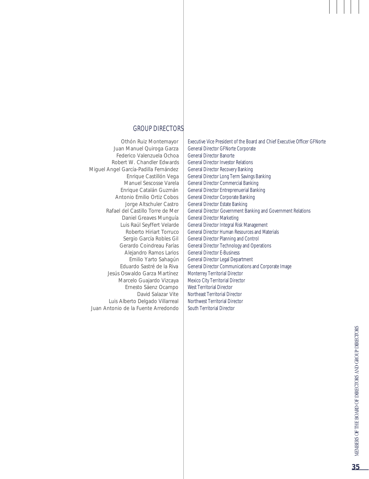#### GROUP DIRECTORS

Othón Ruiz Montemayor Juan Manuel Quiroga Garza Federico Valenzuela Ochoa Robert W. Chandler Edwards Miguel Angel García-Padilla Fernández Enrique Castillón Vega Manuel Sescosse Varela Enrique Catalán Guzmán Antonio Emilio Ortiz Cobos Jorge Altschuler Castro Rafael del Castillo Torre de Mer Daniel Greaves Munguía Luis Raúl Seyffert Velarde Roberto Hiriart Torruco Sergio García Robles Gil Gerardo Coindreau Farías Alejandro Ramos Larios Emilio Yarto Sahagún Eduardo Sastré de la Riva Jesús Oswaldo Garza Martínez Marcelo Guajardo Vizcaya Ernesto Sáenz Ocampo David Salazar Vite Luis Alberto Delgado Villarreal Juan Antonio de la Fuente Arredondo

Executive Vice President of the Board and Chief Executive Officer GFNorte General Director GFNorte Corporate General Director Banorte General Director Investor Relations General Director Recovery Banking General Director Long Term Savings Banking General Director Commercial Banking General Director Entreprenuerial Banking General Director Corporate Banking General Director Estate Banking General Director Government Banking and Government Relations General Director Marketing General Director Integral Risk Management General Director Human Resources and Materials General Director Planning and Control General Director Technology and Operations General Director E-Business General Director Legal Department General Director Communications and Corporate Image Monterrey Territorial Director Mexico City Territorial Director West Territorial Director Northeast Territorial Director Northwest Territorial Director South Territorial Director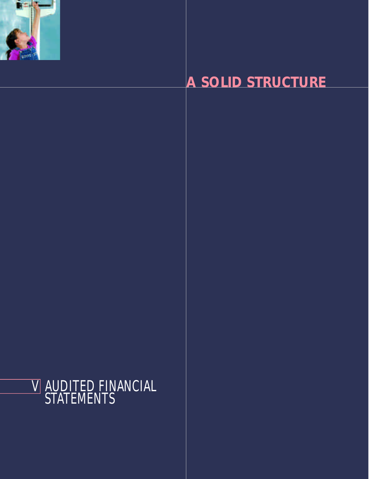

# **A SOLID STRUCTURE**

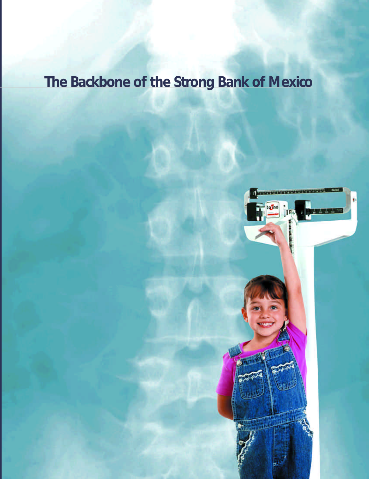# **The Backbone of the Strong Bank of Mexico**